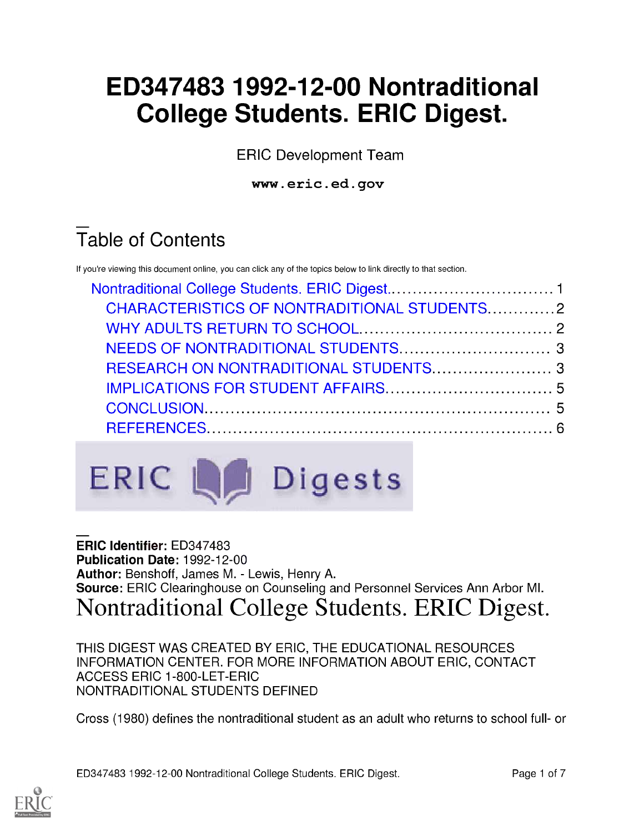# ED347483 1992-12-00 Nontraditional College Students. ERIC Digest.

ERIC Development Team

www.eric.ed.gov

# Table of Contents

If you're viewing this document online, you can click any of the topics below to link directly to that section.

| CHARACTERISTICS OF NONTRADITIONAL STUDENTS2 |  |
|---------------------------------------------|--|
|                                             |  |
|                                             |  |
|                                             |  |
|                                             |  |
|                                             |  |
|                                             |  |



#### ERIC Identifier: ED347483 Publication Date: 1992-12-00 Author: Benshoff, James M. - Lewis, Henry A. Source: ERIC Clearinghouse on Counseling and Personnel Services Ann Arbor MI. Nontraditional College Students. ERIC Digest.

THIS DIGEST WAS CREATED BY ERIC, THE EDUCATIONAL RESOURCES INFORMATION CENTER. FOR MORE INFORMATION ABOUT ERIC, CONTACT ACCESS ERIC 1-800-LET-ERIC NONTRADITIONAL STUDENTS DEFINED

Cross (1980) defines the nontraditional student as an adult who returns to school full- or

ED347483 1992-12-00 Nontraditional College Students. ERIC Digest. Page 1 of 7

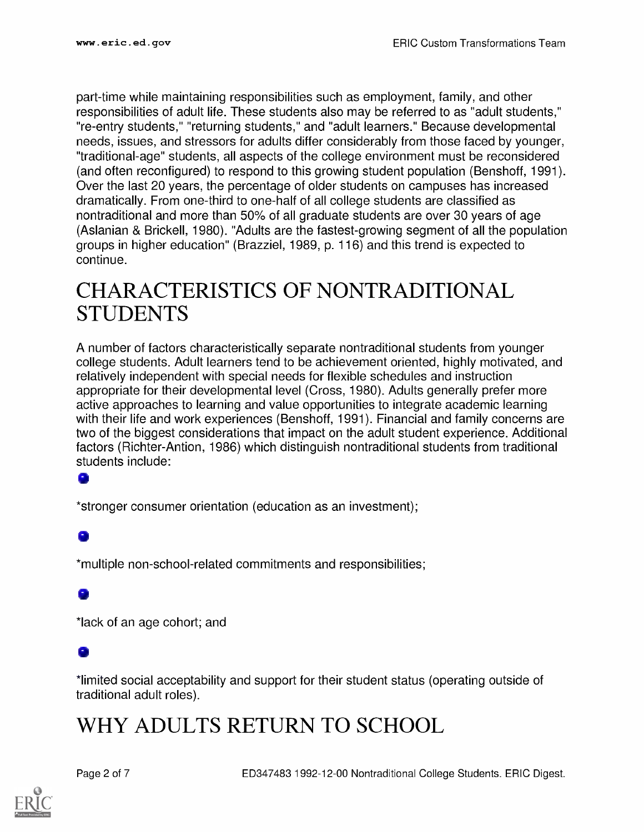part-time while maintaining responsibilities such as employment, family, and other responsibilities of adult life. These students also may be referred to as "adult students," "re-entry students," "returning students," and "adult learners." Because developmental needs, issues, and stressors for adults differ considerably from those faced by younger, "traditional-age" students, all aspects of the college environment must be reconsidered (and often reconfigured) to respond to this growing student population (Benshoff, 1991). Over the last 20 years, the percentage of older students on campuses has increased dramatically. From one-third to one-half of all college students are classified as nontraditional and more than 50% of all graduate students are over 30 years of age (Aslanian & Brickell, 1980). "Adults are the fastest-growing segment of all the population groups in higher education" (Brazziel, 1989, p. 116) and this trend is expected to continue.

### CHARACTERISTICS OF NONTRADITIONAL STUDENTS

A number of factors characteristically separate nontraditional students from younger college students. Adult learners tend to be achievement oriented, highly motivated, and relatively independent with special needs for flexible schedules and instruction appropriate for their developmental level (Cross, 1980). Adults generally prefer more active approaches to learning and value opportunities to integrate academic learning with their life and work experiences (Benshoff, 1991). Financial and family concerns are two of the biggest considerations that impact on the adult student experience. Additional factors (Richter-Antion, 1986) which distinguish nontraditional students from traditional students include:

#### o

\*stronger consumer orientation (education as an investment);

#### G

\*multiple non-school-related commitments and responsibilities;

\*lack of an age cohort; and

#### a,

\*limited social acceptability and support for their student status (operating outside of traditional adult roles).

### WHY ADULTS RETURN TO SCHOOL

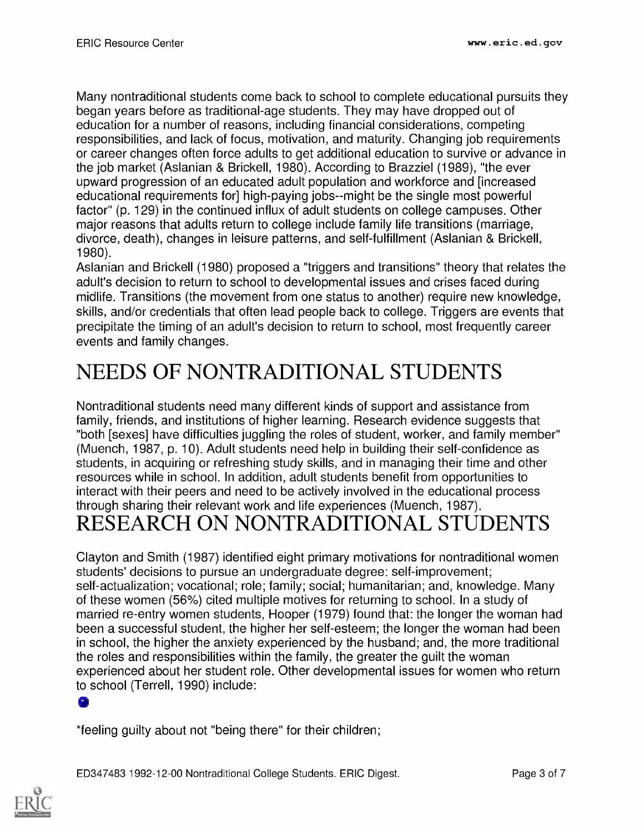Many nontraditional students come back to school to complete educational pursuits they began years before as traditional-age students. They may have dropped out of education for a number of reasons, including financial considerations, competing responsibilities, and lack of focus, motivation, and maturity. Changing job requirements or career changes often force adults to get additional education to survive or advance in the job market (Aslanian & Brickell, 1980). According to Brazziel (1989), "the ever upward progression of an educated adult population and workforce and [increased educational requirements for] high-paying jobs--might be the single most powerful factor" (p. 129) in the continued influx of adult students on college campuses. Other major reasons that adults return to college include family life transitions (marriage, divorce, death), changes in leisure patterns, and self-fulfillment (Aslanian & Brickell, 1980)

Aslanian and Brickell (1980) proposed a "triggers and transitions" theory that relates the adult's decision to return to school to developmental issues and crises faced during midlife. Transitions (the movement from one status to another) require new knowledge, skills, and/or credentials that often lead people back to college. Triggers are events that precipitate the timing of an adult's decision to return to school, most frequently career events and family changes.

# NEEDS OF NONTRADITIONAL STUDENTS

Nontraditional students need many different kinds of support and assistance from family, friends, and institutions of higher learning. Research evidence suggests that "both [sexes] have difficulties juggling the roles of student, worker, and family member" (Muench, 1987, p. 10). Adult students need help in building their self-confidence as students, in acquiring or refreshing study skills, and in managing their time and other resources while in school. In addition, adult students benefit from opportunities to interact with their peers and need to be actively involved in the educational process through sharing their relevant work and life experiences (Muench, 1987). RESEARCH ON NONTRADITIONAL STUDENTS

Clayton and Smith (1987) identified eight primary motivations for nontraditional women students' decisions to pursue an undergraduate degree: self-improvement; self-actualization; vocational; role; family; social; humanitarian; and, knowledge. Many of these women (56%) cited multiple motives for returning to school. In a study of married re-entry women students, Hooper (1979) found that: the longer the woman had been a successful student, the higher her self-esteem; the longer the woman had been in school, the higher the anxiety experienced by the husband; and, the more traditional the roles and responsibilities within the family, the greater the guilt the woman experienced about her student role. Other developmental issues for women who return to school (Terrell, 1990) include:

\*feeling guilty about not "being there" for their children;

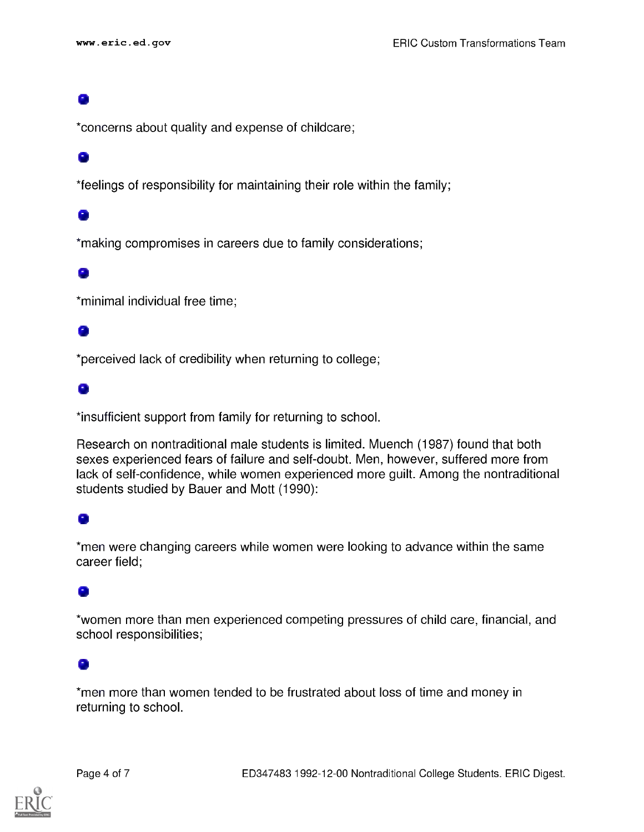#### el

\*concerns about quality and expense of childcare;

#### el

\*feelings of responsibility for maintaining their role within the family;

#### ei

\*making compromises in careers due to family considerations;

#### el

\*minimal individual free time;

#### ei

\*perceived lack of credibility when returning to college;

#### el

\*insufficient support from family for returning to school.

Research on nontraditional male students is limited. Muench (1987) found that both sexes experienced fears of failure and self-doubt. Men, however, suffered more from lack of self-confidence, while women experienced more guilt. Among the nontraditional students studied by Bauer and Mott (1990):

#### G

\*men were changing careers while women were looking to advance within the same career field;

### 0

\*women more than men experienced competing pressures of child care, financial, and school responsibilities;

#### Œ

\*men more than women tended to be frustrated about loss of time and money in returning to school.

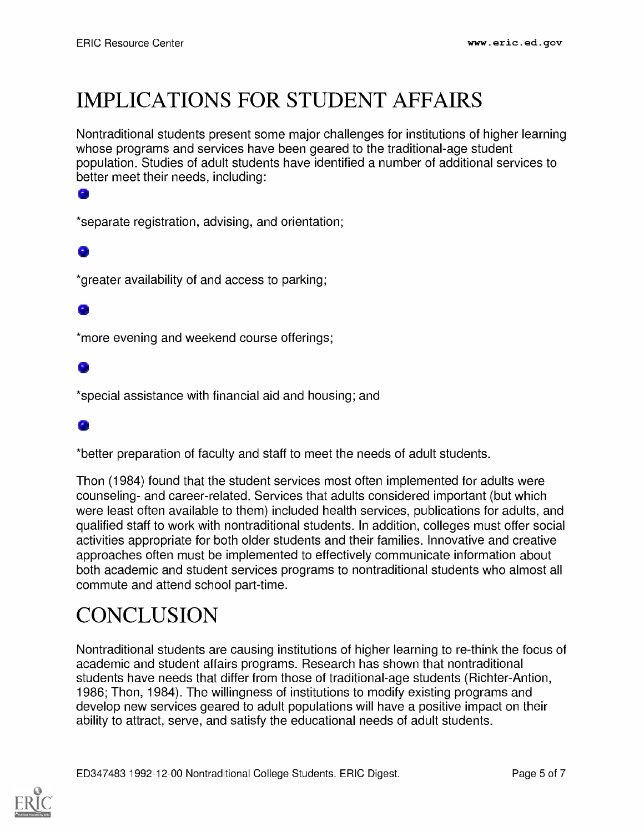# IMPLICATIONS FOR STUDENT AFFAIRS

Nontraditional students present some major challenges for institutions of higher learning whose programs and services have been geared to the traditional-age student population. Studies of adult students have identified a number of additional services to better meet their needs, including:

\*separate registration, advising, and orientation;

#### 0

o

\*greater availability of and access to parking;

#### el

\*more evening and weekend course offerings;

#### ۰

\*special assistance with financial aid and housing; and

#### a,

\*better preparation of faculty and staff to meet the needs of adult students.

Thon (1984) found that the student services most often implemented for adults were counseling- and career-related. Services that adults considered important (but which were least often available to them) included health services, publications for adults, and qualified staff to work with nontraditional students. In addition, colleges must offer social activities appropriate for both older students and their families. Innovative and creative approaches often must be implemented to effectively communicate information about both academic and student services programs to nontraditional students who almost all commute and attend school part-time.

## **CONCLUSION**

Nontraditional students are causing institutions of higher learning to re-think the focus of academic and student affairs programs. Research has shown that nontraditional students have needs that differ from those of traditional-age students (Richter-Antion, 1986; Thon, 1984). The willingness of institutions to modify existing programs and develop new services geared to adult populations will have a positive impact on their ability to attract, serve, and satisfy the educational needs of adult students.

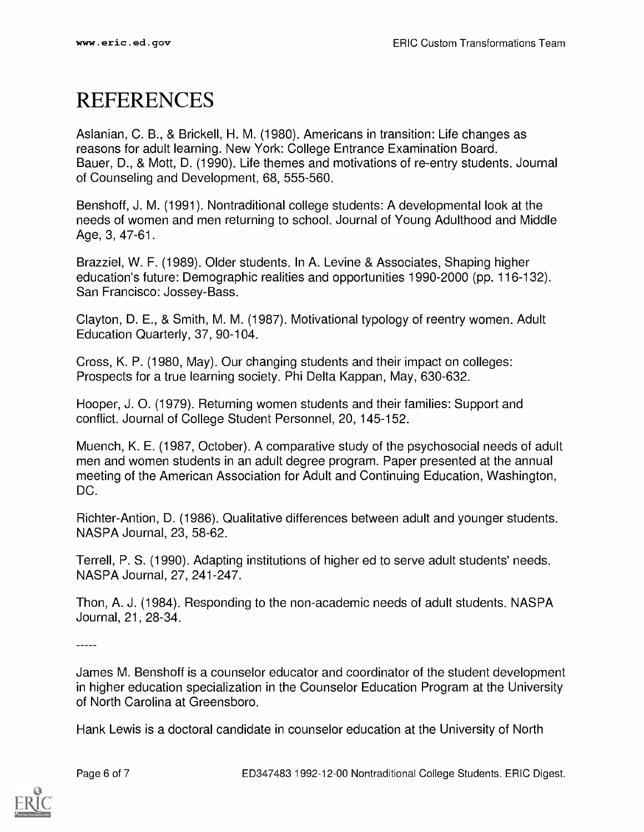### REFERENCES

Aslanian, C. B., & Brickell, H. M. (1980). Americans in transition: Life changes as reasons for adult learning. New York: College Entrance Examination Board. Bauer, D., & Mott, D. (1990). Life themes and motivations of re-entry students. Journal of Counseling and Development, 68, 555-560.

Benshoff, J. M. (1991). Nontraditional college students: A developmental look at the needs of women and men returning to school. Journal of Young Adulthood and Middle Age, 3, 47-61.

Brazziel, W. F. (1989). Older students. In A. Levine & Associates, Shaping higher education's future: Demographic realities and opportunities 1990-2000 (pp. 116-132). San Francisco: Jossey-Bass.

Clayton, D. E., & Smith, M. M. (1987). Motivational typology of reentry women. Adult Education Quarterly, 37, 90-104.

Cross, K. P. (1980, May). Our changing students and their impact on colleges: Prospects for a true learning society. Phi Delta Kappan, May, 630-632.

Hooper, J. 0. (1979). Returning women students and their families: Support and conflict. Journal of College Student Personnel, 20, 145-152.

Muench, K. E. (1987, October). A comparative study of the psychosocial needs of adult men and women students in an adult degree program. Paper presented at the annual meeting of the American Association for Adult and Continuing Education, Washington, DC.

Richter-Antion, D. (1986). Qualitative differences between adult and younger students. NASPA Journal, 23, 58-62.

Terrell, P. S. (1990). Adapting institutions of higher ed to serve adult students' needs. NASPA Journal, 27, 241-247.

Thon, A. J. (1984). Responding to the non-academic needs of adult students. NASPA Journal, 21, 28-34.

 $\frac{1}{1}$ 

James M. Benshoff is a counselor educator and coordinator of the student development in higher education specialization in the Counselor Education Program at the University of North Carolina at Greensboro.

Hank Lewis is a doctoral candidate in counselor education at the University of North